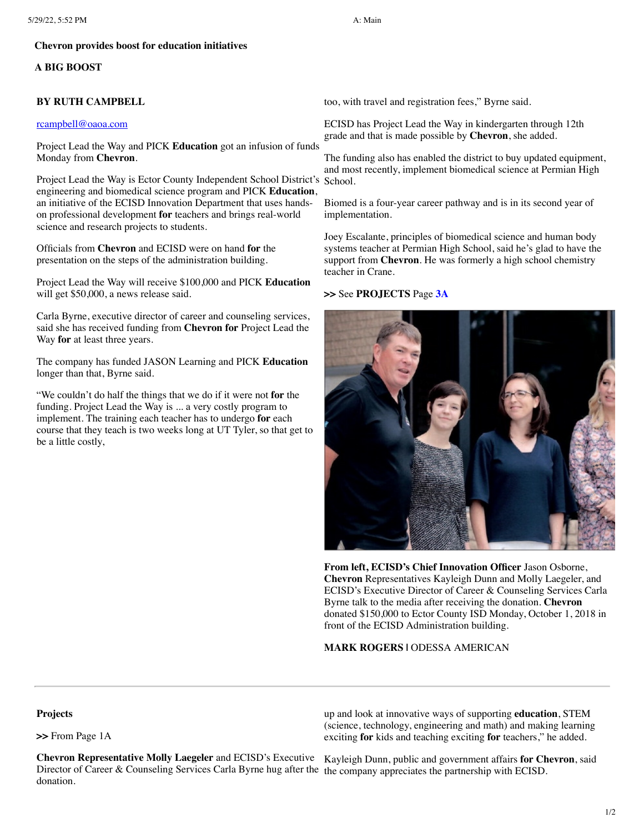## **Chevron provides boost for education initiatives**

# **A BIG BOOST**

## **BY RUTH CAMPBELL**

#### [rcampbell@oaoa.com](mailto:rcampbell@oaoa.com)

Project Lead the Way and PICK **Education** got an infusion of funds Monday from **Chevron**.

Project Lead the Way is Ector County Independent School District's School. engineering and biomedical science program and PICK **Education**, an initiative of the ECISD Innovation Department that uses handson professional development **for** teachers and brings real-world science and research projects to students.

Officials from **Chevron** and ECISD were on hand **for** the presentation on the steps of the administration building.

Project Lead the Way will receive \$100,000 and PICK **Education** will get \$50,000, a news release said.

Carla Byrne, executive director of career and counseling services, said she has received funding from **Chevron for** Project Lead the Way **for** at least three years.

The company has funded JASON Learning and PICK **Education** longer than that, Byrne said.

"We couldn't do half the things that we do if it were not **for** the funding. Project Lead the Way is ... a very costly program to implement. The training each teacher has to undergo **for** each course that they teach is two weeks long at UT Tyler, so that get to be a little costly,

too, with travel and registration fees," Byrne said.

ECISD has Project Lead the Way in kindergarten through 12th grade and that is made possible by **Chevron**, she added.

The funding also has enabled the district to buy updated equipment, and most recently, implement biomedical science at Permian High

Biomed is a four-year career pathway and is in its second year of implementation.

Joey Escalante, principles of biomedical science and human body systems teacher at Permian High School, said he's glad to have the support from **Chevron**. He was formerly a high school chemistry teacher in Crane.

## **>>** See **PROJECTS** Page **[3A](javascript:gotoPage("A","A03");)**



**From left, ECISD's Chief Innovation Officer** Jason Osborne, **Chevron** Representatives Kayleigh Dunn and Molly Laegeler, and ECISD's Executive Director of Career & Counseling Services Carla Byrne talk to the media after receiving the donation. **Chevron** donated \$150,000 to Ector County ISD Monday, October 1, 2018 in front of the ECISD Administration building.

**MARK ROGERS |** ODESSA AMERICAN

## **Projects**

**>>** From Page 1A

**Chevron Representative Molly Laegeler** and ECISD's Executive Kayleigh Dunn, public and government affairs **for Chevron**, said Director of Career & Counseling Services Carla Byrne hug after the the company appreciates the partnership with ECISD. donation.

up and look at innovative ways of supporting **education**, STEM (science, technology, engineering and math) and making learning exciting **for** kids and teaching exciting **for** teachers," he added.